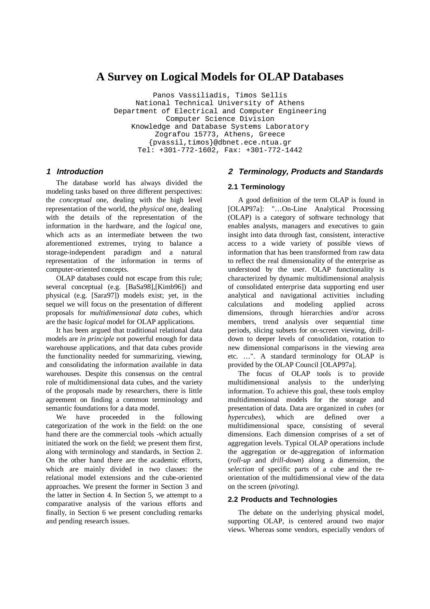# **A Survey on Logical Models for OLAP Databases**

Panos Vassiliadis, Timos Sellis National Technical University of Athens Department of Electrical and Computer Engineering Computer Science Division Knowledge and Database Systems Laboratory Zografou 15773, Athens, Greece {pvassil,timos}@dbnet.ece.ntua.gr Tel: +301-772-1602, Fax: +301-772-1442

## **1 Introduction**

The database world has always divided the modeling tasks based on three different perspectives: the *conceptual* one, dealing with the high level representation of the world, the *physical* one, dealing with the details of the representation of the information in the hardware, and the *logical* one, which acts as an intermediate between the two aforementioned extremes, trying to balance a storage-independent paradigm and a natural representation of the information in terms of computer-oriented concepts.

OLAP databases could not escape from this rule; several conceptual (e.g. [BaSa98],[Kimb96]) and physical (e.g. [Sara97]) models exist; yet, in the sequel we will focus on the presentation of different proposals for *multidimensional data cubes*, which are the basic *logical* model for OLAP applications.

It has been argued that traditional relational data models are *in principle* not powerful enough for data warehouse applications, and that data cubes provide the functionality needed for summarizing, viewing, and consolidating the information available in data warehouses. Despite this consensus on the central role of multidimensional data cubes, and the variety of the proposals made by researchers, there is little agreement on finding a common terminology and semantic foundations for a data model.

We have proceeded in the following categorization of the work in the field: on the one hand there are the commercial tools -which actually initiated the work on the field; we present them first, along with terminology and standards, in Section 2. On the other hand there are the academic efforts, which are mainly divided in two classes: the relational model extensions and the cube-oriented approaches. We present the former in Section 3 and the latter in Section 4. In Section 5, we attempt to a comparative analysis of the various efforts and finally, in Section 6 we present concluding remarks and pending research issues.

#### **2 Terminology, Products and Standards**

#### **2.1 Terminology**

A good definition of the term OLAP is found in [OLAP97a]: "…On-Line Analytical Processing (OLAP) is a category of software technology that enables analysts, managers and executives to gain insight into data through fast, consistent, interactive access to a wide variety of possible views of information that has been transformed from raw data to reflect the real dimensionality of the enterprise as understood by the user. OLAP functionality is characterized by dynamic multidimensional analysis of consolidated enterprise data supporting end user analytical and navigational activities including calculations and modeling applied across dimensions, through hierarchies and/or across members, trend analysis over sequential time periods, slicing subsets for on-screen viewing, drilldown to deeper levels of consolidation, rotation to new dimensional comparisons in the viewing area etc. …". A standard terminology for OLAP is provided by the OLAP Council [OLAP97a].

The focus of OLAP tools is to provide multidimensional analysis to the underlying information. To achieve this goal, these tools employ multidimensional models for the storage and presentation of data. Data are organized in *cubes* (or *hypercubes*), which are defined over a multidimensional space, consisting of several dimensions. Each dimension comprises of a set of aggregation levels. Typical OLAP operations include the aggregation or de-aggregation of information (*roll-up* and *drill-down*) along a dimension, the *selection* of specific parts of a cube and the reorientation of the multidimensional view of the data on the screen (*pivoting)*.

#### **2.2 Products and Technologies**

The debate on the underlying physical model, supporting OLAP, is centered around two major views. Whereas some vendors, especially vendors of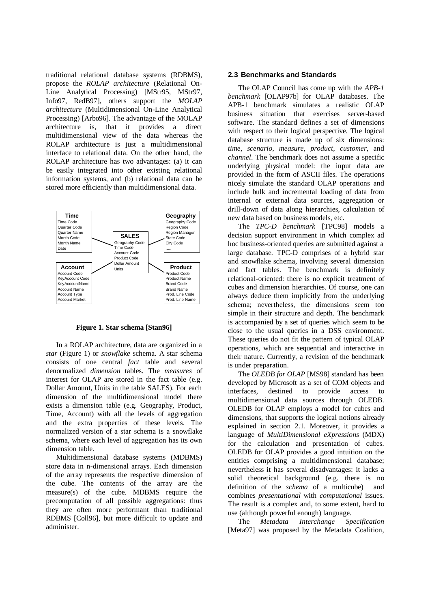traditional relational database systems (RDBMS), propose the *ROLAP architecture* (Relational On-Line Analytical Processing) [MStr95, MStr97, Info97, RedB97], others support the *MOLAP architecture* (Multidimensional On-Line Analytical Processing) [Arbo96]. The advantage of the MOLAP architecture is, that it provides a direct multidimensional view of the data whereas the ROLAP architecture is just a multidimensional interface to relational data. On the other hand, the ROLAP architecture has two advantages: (a) it can be easily integrated into other existing relational information systems, and (b) relational data can be stored more efficiently than multidimensional data.



**Figure 1. Star schema [Stan96]**

In a ROLAP architecture, data are organized in a *star* (Figure 1) or *snowflake* schema. A star schema consists of one central *fact* table and several denormalized *dimension* tables. The *measures* of interest for OLAP are stored in the fact table (e.g. Dollar Amount, Units in the table SALES). For each dimension of the multidimensional model there exists a dimension table (e.g. Geography, Product, Time, Account) with all the levels of aggregation and the extra properties of these levels. The normalized version of a star schema is a snowflake schema, where each level of aggregation has its own dimension table.

Multidimensional database systems (MDBMS) store data in n-dimensional arrays. Each dimension of the array represents the respective dimension of the cube. The contents of the array are the measure(s) of the cube. MDBMS require the precomputation of all possible aggregations: thus they are often more performant than traditional RDBMS [Coll96], but more difficult to update and administer.

#### **2.3 Benchmarks and Standards**

The OLAP Council has come up with the *APB-1 benchmark* [OLAP97b] for OLAP databases. The APB-1 benchmark simulates a realistic OLAP business situation that exercises server-based software. The standard defines a set of dimensions with respect to their logical perspective. The logical database structure is made up of six dimensions: *time*, *scenario*, *measure*, *product*, *customer*, and *channel*. The benchmark does not assume a specific underlying physical model: the input data are provided in the form of ASCII files. The operations nicely simulate the standard OLAP operations and include bulk and incremental loading of data from internal or external data sources, aggregation or drill-down of data along hierarchies, calculation of new data based on business models, etc.

The *TPC-D benchmark* [TPC98] models a decision support environment in which complex ad hoc business-oriented queries are submitted against a large database. TPC-D comprises of a hybrid star and snowflake schema, involving several dimension and fact tables. The benchmark is definitely relational-oriented: there is no explicit treatment of cubes and dimension hierarchies. Of course, one can always deduce them implicitly from the underlying schema; nevertheless, the dimensions seem too simple in their structure and depth. The benchmark is accompanied by a set of queries which seem to be close to the usual queries in a DSS environment. These queries do not fit the pattern of typical OLAP operations, which are sequential and interactive in their nature. Currently, a revision of the benchmark is under preparation.

The *OLEDB for OLAP* [MS98] standard has been developed by Microsoft as a set of COM objects and interfaces, destined to provide access to multidimensional data sources through OLEDB. OLEDB for OLAP employs a model for cubes and dimensions, that supports the logical notions already explained in section 2.1. Moreover, it provides a language of *MultiDimensional eXpressions* (MDX) for the calculation and presentation of cubes. OLEDB for OLAP provides a good intuition on the entities comprising a multidimensional database; nevertheless it has several disadvantages: it lacks a solid theoretical background (e.g. there is no definition of the *schema* of a multicube) and combines *presentational* with *computational* issues. The result is a complex and, to some extent, hard to use (although powerful enough) language.

The *Metadata Interchange Specification* [Meta97] was proposed by the Metadata Coalition,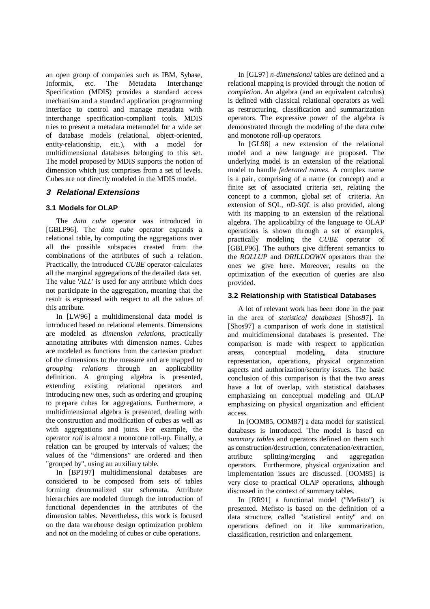an open group of companies such as IBM, Sybase, Informix, etc. The Metadata Interchange Specification (MDIS) provides a standard access mechanism and a standard application programming interface to control and manage metadata with interchange specification-compliant tools. MDIS tries to present a metadata metamodel for a wide set of database models (relational, object-oriented, entity-relationship, etc.), with a model for multidimensional databases belonging to this set. The model proposed by MDIS supports the notion of dimension which just comprises from a set of levels. Cubes are not directly modeled in the MDIS model.

## **3 Relational Extensions**

#### **3.1 Models for OLAP**

The *data cube* operator was introduced in [GBLP96]. The *data cube* operator expands a relational table, by computing the aggregations over all the possible subspaces created from the combinations of the attributes of such a relation. Practically, the introduced *CUBE* operator calculates all the marginal aggregations of the detailed data set. The value '*ALL*' is used for any attribute which does not participate in the aggregation, meaning that the result is expressed with respect to all the values of this attribute.

In [LW96] a multidimensional data model is introduced based on relational elements. Dimensions are modeled as *dimension relations*, practically annotating attributes with dimension names. Cubes are modeled as functions from the cartesian product of the dimensions to the measure and are mapped to *grouping relations* through an applicability definition. A grouping algebra is presented, extending existing relational operators and introducing new ones, such as ordering and grouping to prepare cubes for aggregations. Furthermore, a multidimensional algebra is presented, dealing with the construction and modification of cubes as well as with aggregations and joins. For example, the operator *roll* is almost a monotone roll-up. Finally, a relation can be grouped by intervals of values; the values of the "dimensions" are ordered and then "grouped by", using an auxiliary table.

In [BPT97] multidimensional databases are considered to be composed from sets of tables forming denormalized star schemata. Attribute hierarchies are modeled through the introduction of functional dependencies in the attributes of the dimension tables. Nevertheless, this work is focused on the data warehouse design optimization problem and not on the modeling of cubes or cube operations.

In [GL97] *n-dimensional* tables are defined and a relational mapping is provided through the notion of *completion*. An algebra (and an equivalent calculus) is defined with classical relational operators as well as restructuring, classification and summarization operators. The expressive power of the algebra is demonstrated through the modeling of the data cube and monotone roll-up operators.

In [GL98] a new extension of the relational model and a new language are proposed. The underlying model is an extension of the relational model to handle *federated names*. A complex name is a pair, comprising of a name (or concept) and a finite set of associated criteria set, relating the concept to a common, global set of criteria. An extension of SQL, *nD-SQL* is also provided, along with its mapping to an extension of the relational algebra. The applicability of the language to OLAP operations is shown through a set of examples, practically modeling the *CUBE* operator of [GBLP96]. The authors give different semantics to the *ROLLUP* and *DRILLDOWN* operators than the ones we give here. Moreover, results on the optimization of the execution of queries are also provided.

### **3.2 Relationship with Statistical Databases**

A lot of relevant work has been done in the past in the area of *statistical databases* [Shos97]. In [Shos97] a comparison of work done in statistical and multidimensional databases is presented. The comparison is made with respect to application areas, conceptual modeling, data structure representation, operations, physical organization aspects and authorization/security issues. The basic conclusion of this comparison is that the two areas have a lot of overlap, with statistical databases emphasizing on conceptual modeling and OLAP emphasizing on physical organization and efficient access.

In [OOM85, OOM87] a data model for statistical databases is introduced. The model is based on *summary tables* and operators defined on them such as construction/destruction, concatenation/extraction, attribute splitting/merging and aggregation operators. Furthermore, physical organization and implementation issues are discussed. [OOM85] is very close to practical OLAP operations, although discussed in the context of summary tables.

In [RR91] a functional model ("Mefisto") is presented. Mefisto is based on the definition of a data structure, called "statistical entity" and on operations defined on it like summarization, classification, restriction and enlargement.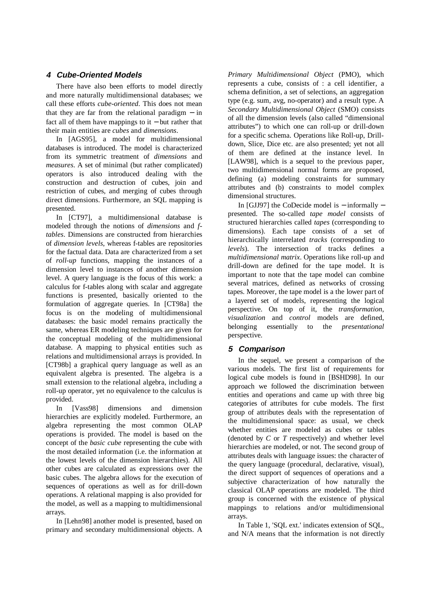# **4 Cube-Oriented Models**

There have also been efforts to model directly and more naturally multidimensional databases; we call these efforts *cube-oriented*. This does not mean that they are far from the relational paradigm  $-$  in fact all of them have mappings to it − but rather that their main entities are *cubes* and *dimensions*.

In [AGS95], a model for multidimensional databases is introduced. The model is characterized from its symmetric treatment of *dimensions* and *measures*. A set of minimal (but rather complicated) operators is also introduced dealing with the construction and destruction of cubes, join and restriction of cubes, and merging of cubes through direct dimensions. Furthermore, an SQL mapping is presented.

In [CT97], a multidimensional database is modeled through the notions of *dimensions* and *ftables*. Dimensions are constructed from hierarchies of *dimension levels*, whereas f-tables are repositories for the factual data. Data are characterized from a set of *roll-up* functions, mapping the instances of a dimension level to instances of another dimension level. A query language is the focus of this work: a calculus for f-tables along with scalar and aggregate functions is presented, basically oriented to the formulation of aggregate queries. In [CT98a] the focus is on the modeling of multidimensional databases: the basic model remains practically the same, whereas ER modeling techniques are given for the conceptual modeling of the multidimensional database. A mapping to physical entities such as relations and multidimensional arrays is provided. In [CT98b] a graphical query language as well as an equivalent algebra is presented. The algebra is a small extension to the relational algebra, including a roll-up operator, yet no equivalence to the calculus is provided.

In [Vass98] dimensions and dimension hierarchies are explicitly modeled. Furthermore, an algebra representing the most common OLAP operations is provided. The model is based on the concept of the *basic cube* representing the cube with the most detailed information (i.e. the information at the lowest levels of the dimension hierarchies). All other cubes are calculated as expressions over the basic cubes. The algebra allows for the execution of sequences of operations as well as for drill-down operations. A relational mapping is also provided for the model, as well as a mapping to multidimensional arrays.

In [Lehn98] another model is presented, based on primary and secondary multidimensional objects. A *Primary Multidimensional Object* (PMO), which represents a cube, consists of : a cell identifier, a schema definition, a set of selections, an aggregation type (e.g. sum, avg, no-operator) and a result type. A *Secondary Multidimensional Object* (SMO) consists of all the dimension levels (also called "dimensional attributes") to which one can roll-up or drill-down for a specific schema. Operations like Roll-up, Drilldown, Slice, Dice etc. are also presented; yet not all of them are defined at the instance level. In [LAW98], which is a sequel to the previous paper, two multidimensional normal forms are proposed, defining (a) modeling constraints for summary attributes and (b) constraints to model complex dimensional structures.

In [GJJ97] the CoDecide model is − informally − presented. The so-called *tape model* consists of structured hierarchies called *tapes* (corresponding to dimensions). Each tape consists of a set of hierarchically interrelated *tracks* (corresponding to *levels*). The intersection of tracks defines a *multidimensional matrix*. Operations like roll-up and drill-down are defined for the tape model. It is important to note that the tape model can combine several matrices, defined as networks of crossing tapes. Moreover, the tape model is a the lower part of a layered set of models, representing the logical perspective. On top of it, the *transformation*, *visualization* and *control* models are defined, belonging essentially to the *presentational* perspective.

## **5 Comparison**

In the sequel, we present a comparison of the various models. The first list of requirements for logical cube models is found in [BSHD98]. In our approach we followed the discrimination between entities and operations and came up with three big categories of attributes for cube models. The first group of attributes deals with the representation of the multidimensional space: as usual, we check whether entities are modeled as cubes or tables (denoted by *C* or *T* respectively) and whether level hierarchies are modeled, or not. The second group of attributes deals with language issues: the character of the query language (procedural, declarative, visual), the direct support of sequences of operations and a subjective characterization of how naturally the classical OLAP operations are modeled. The third group is concerned with the existence of physical mappings to relations and/or multidimensional arrays.

In Table 1, 'SQL ext.' indicates extension of SQL, and N/A means that the information is not directly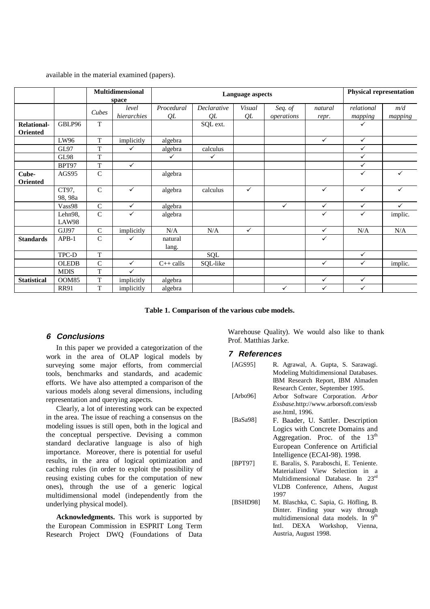|                                |                  | <b>Multidimensional</b><br>space |                      | <b>Language aspects</b> |                          |              |                       |                  | <b>Physical representation</b> |                |
|--------------------------------|------------------|----------------------------------|----------------------|-------------------------|--------------------------|--------------|-----------------------|------------------|--------------------------------|----------------|
|                                |                  | Cubes                            | level<br>hierarchies | Procedural<br>QL        | <b>Declarative</b><br>QL | Visual<br>QL | Seq. of<br>operations | natural<br>repr. | relational<br>mapping          | m/d<br>mapping |
| <b>Relational-</b><br>Oriented | GBLP96           | T                                |                      |                         | SQL ext.                 |              |                       |                  | ✓                              |                |
|                                | LW96             | $\mathbf T$                      | implicitly           | algebra                 |                          |              |                       | $\checkmark$     | $\checkmark$                   |                |
|                                | GL97             | $\rm T$                          | $\checkmark$         | algebra                 | calculus                 |              |                       |                  | $\checkmark$                   |                |
|                                | <b>GL98</b>      | $\rm T$                          |                      | ✓                       | $\checkmark$             |              |                       |                  | $\checkmark$                   |                |
|                                | BPT97            | T                                | $\checkmark$         |                         |                          |              |                       |                  | $\checkmark$                   |                |
| Cube-<br>Oriented              | AGS95            | $\mathbf C$                      |                      | algebra                 |                          |              |                       |                  | $\checkmark$                   | $\checkmark$   |
|                                | CT97,<br>98, 98a | $\mathsf{C}$                     | $\checkmark$         | algebra                 | calculus                 | $\checkmark$ |                       | $\checkmark$     | $\checkmark$                   | $\checkmark$   |
|                                | Vass98           | ${\bf C}$                        | $\checkmark$         | algebra                 |                          |              | $\checkmark$          | $\checkmark$     | $\checkmark$                   | $\checkmark$   |
|                                | Lehn98,<br>LAW98 | $\mathsf{C}$                     | $\checkmark$         | algebra                 |                          |              |                       | $\checkmark$     | ✓                              | implic.        |
|                                | GJJ97            | ${\bf C}$                        | implicitly           | N/A                     | N/A                      | $\checkmark$ |                       | $\checkmark$     | N/A                            | N/A            |
| <b>Standards</b>               | $APB-1$          | $\mathbf C$                      | $\checkmark$         | natural<br>lang.        |                          |              |                       | $\checkmark$     |                                |                |
|                                | TPC-D            | T                                |                      |                         | SQL                      |              |                       |                  | ✓                              |                |
|                                | <b>OLEDB</b>     | $\mathsf{C}$                     | $\checkmark$         | $C++$ calls             | SQL-like                 |              |                       | $\checkmark$     | $\checkmark$                   | implic.        |
|                                | <b>MDIS</b>      | $\rm T$                          | $\checkmark$         |                         |                          |              |                       |                  |                                |                |
| <b>Statistical</b>             | OOM85            | T                                | implicitly           | algebra                 |                          |              |                       | $\checkmark$     | $\checkmark$                   |                |
|                                | <b>RR91</b>      | T                                | implicitly           | algebra                 |                          |              | $\checkmark$          | $\checkmark$     | $\checkmark$                   |                |

available in the material examined (papers).

**Table 1. Comparison of the various cube models.**

#### **6 Conclusions**

In this paper we provided a categorization of the work in the area of OLAP logical models by surveying some major efforts, from commercial tools, benchmarks and standards, and academic efforts. We have also attempted a comparison of the various models along several dimensions, including representation and querying aspects.

Clearly, a lot of interesting work can be expected in the area. The issue of reaching a consensus on the modeling issues is still open, both in the logical and the conceptual perspective. Devising a common standard declarative language is also of high importance. Moreover, there is potential for useful results, in the area of logical optimization and caching rules (in order to exploit the possibility of reusing existing cubes for the computation of new ones), through the use of a generic logical multidimensional model (independently from the underlying physical model).

**Acknowledgments.** This work is supported by the European Commission in ESPRIT Long Term Research Project DWQ (Foundations of Data

Warehouse Quality). We would also like to thank Prof. Matthias Jarke.

## **7 References**

| [AGS95]  | R. Agrawal, A. Gupta, S. Sarawagi.               |
|----------|--------------------------------------------------|
|          | Modeling Multidimensional Databases.             |
|          | IBM Research Report, IBM Almaden                 |
|          | Research Center, September 1995.                 |
| [Arbo96] | Arbor Software Corporation. Arbor                |
|          | Essbase.http://www.arborsoft.com/essb            |
|          | ase.html, 1996.                                  |
| [BaSa98] | F. Baader, U. Sattler. Description               |
|          | Logics with Concrete Domains and                 |
|          | Aggregation. Proc. of the $13th$                 |
|          | European Conference on Artificial                |
|          | Intelligence (ECAI-98). 1998.                    |
| [BPT97]  | E. Baralis, S. Paraboschi, E. Teniente.          |
|          | Materialized View Selection in<br><sup>2</sup>   |
|          | Multidimensional Database. In 23rd               |
|          | VLDB Conference, Athens, August                  |
|          | 1997                                             |
| [BSHD98] | M. Blaschka, C. Sapia, G. Höfling, B.            |
|          | Dinter. Finding your way through                 |
|          | multidimensional data models. In 9 <sup>th</sup> |
|          | DEXA Workshop, Vienna,<br>Intl.                  |
|          | Austria, August 1998.                            |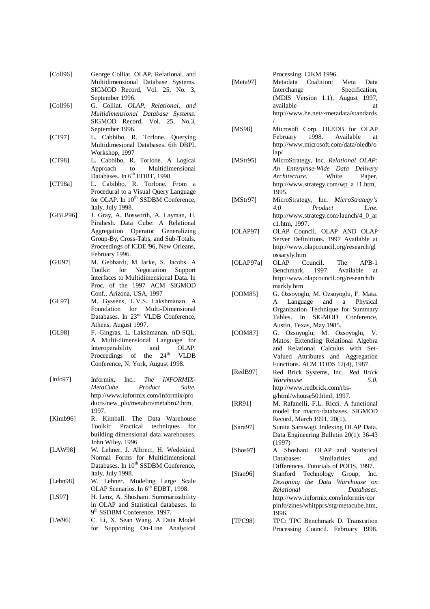| [Col196] | George Colliat. OLAP, Relational, and<br>Multidimensional Database Systems.       |
|----------|-----------------------------------------------------------------------------------|
|          | SIGMOD Record, Vol. 25, No. 3,                                                    |
| [Col196] | September 1996.<br>G. Colliat. OLAP, Relational, and                              |
|          | Multidimensional Database Systems.                                                |
|          | SIGMOD Record, Vol. 25, No.3,                                                     |
|          | September 1996.                                                                   |
| [CT97]   | L. Cabbibo, R. Torlone. Querying<br>Multidimesional Databases. 6th DBPL           |
|          | Workshop, 1997                                                                    |
| [CT98]   | L. Cabbibo, R. Torlone. A Logical                                                 |
|          | Multidimensional<br>Approach to                                                   |
|          | Databases. In 6 <sup>th</sup> EDBT, 1998.                                         |
| [CT98a]  | L. Cabibbo, R. Torlone. From a<br>Procedural to a Visual Query Language           |
|          | for OLAP. In 10 <sup>th</sup> SSDBM Conference,                                   |
|          | Italy, July 1998.                                                                 |
| [GBLP96] | J. Gray, A. Bosworth, A. Layman, H.                                               |
|          | Pirahesh. Data Cube: A Relational                                                 |
|          | Aggregation Operator Generalizing                                                 |
|          | Group-By, Cross-Tabs, and Sub-Totals.<br>Proceedings of ICDE '96, New Orleans,    |
|          | February 1996.                                                                    |
| [GJJ97]  | M. Gebhardt, M Jarke, S. Jacobs. A                                                |
|          | for Negotiation Support<br>Toolkit                                                |
|          | Interfaces to Multidimensional Data. In<br>Proc. of the 1997 ACM SIGMOD           |
|          | Conf., Arizona, USA, 1997                                                         |
| [GL97]   | M. Gyssens, L.V.S. Lakshmanan. A                                                  |
|          | Foundation for Multi-Dimensional                                                  |
|          | Databases. In 23 <sup>rd</sup> VLDB Conference,                                   |
|          | Athens, August 1997.                                                              |
| [GL98]   | F. Gingras, L. Lakshmanan. nD-SQL:<br>A Multi-dimensional Language for            |
|          | OLAP.<br>Interoperability and                                                     |
|          | $24^{\text{th}}$ VLDB<br>Proceedings of the                                       |
|          | Conference, N. York, August 1998.                                                 |
| [Info97] | Inc.: The INFORMIX-<br>Informix.                                                  |
|          | Product<br><i>MetaCube</i><br>Suite.                                              |
|          | http://www.informix.com/informix/pro                                              |
|          | ducts/new_plo/metabro/metabro2.htm,<br>1997.                                      |
| [Kimb96] | R. Kimball. The Data Warehouse                                                    |
|          | Toolkit: Practical techniques<br>for                                              |
|          | building dimensional data warehouses.<br>John Wiley. 1996                         |
| [LAW98]  | W. Lehner, J. Albrect, H. Wedekind.                                               |
|          | Normal Forms for Multidimensional                                                 |
|          | Databases. In 10 <sup>th</sup> SSDBM Conference,                                  |
|          | Italy, July 1998.                                                                 |
| [Lehn98] | W. Lehner. Modeling Large Scale<br>OLAP Scenarios. In 6 <sup>th</sup> EDBT, 1998. |
| [LS97]   | H. Lenz, A. Shoshani. Summarizability                                             |
|          | in OLAP and Statistical databases. In                                             |
|          | 9 <sup>th</sup> SSDBM Conference, 1997.                                           |
| [LW96]   | C. Li, X. Sean Wang. A Data Model                                                 |
|          | Supporting On-Line Analytical<br>for                                              |
|          |                                                                                   |

Processing. CIKM 1996. [Meta97] Metadata Coalition: Meta Data Interchange Specification, (MDIS Version 1.1), August 1997, available at http://www.he.net/~metadata/standards / [MS98] Microsoft Corp. OLEDB for OLAP February 1998. Available at http://www.microsoft.com/data/oledb/o lap/ [MStr95] MicroStrategy, Inc. *Relational OLAP: An Enterprise-Wide Data Delivery Architecture*. White Paper, http://www.strategy.com/wp\_a\_i1.htm, 1995. [MStr97] MicroStrategy, Inc. *MicroStrategy's 4.0 Product Line*. http://www.strategy.com/launch/4\_0\_ar c1.htm, 1997. [OLAP97] OLAP Council. OLAP AND OLAP Server Definitions. 1997 Available at http://www.olapcouncil.org/research/gl ossaryly.htm [OLAP97a] OLAP Council. The APB-1 Benchmark. 1997. Available at http://www.olapcouncil.org/research/b markly.htm [OOM85] G. Ozsoyoglu, M. Ozsoyoglu, F. Mata. A Language and a Physical Organization Technique for Summary Tables. In SIGMOD Conference, Austin, Texas, May 1985. [OOM87] G. Ozsoyoglu, M. Ozsoyoglu, V. Matos. Extending Relational Algebra and Relational Calculus with Set-Valued Attributes and Aggregation Functions. ACM TODS 12(4), 1987. [RedB97] Red Brick Systems, Inc.. *Red Brick Warehouse 5.0*. http://www.redbrick.com/rbsg/html/whouse50.html, 1997. [RR91] M. Rafanelli, F.L. Ricci. A functional model for macro-databases. SIGMOD Record, March 1991, 20(1). [Sara97] Sunita Sarawagi. Indexing OLAP Data. Data Engineering Bulletin 20(1): 36-43 (1997) [Shos97] A. Shoshani. OLAP and Statistical Databases: Similarities and Differences. Tutorials of PODS, 1997. [Stan96] Stanford Technology Group, Inc. *Designing the Data Warehouse on Relational Databases*. http://www.informix.com/informix/cor pinfo/zines/whitpprs/stg/metacube.htm, 1996. [TPC98] TPC: TPC Benchmark D. Transcation Processing Council. February 1998.